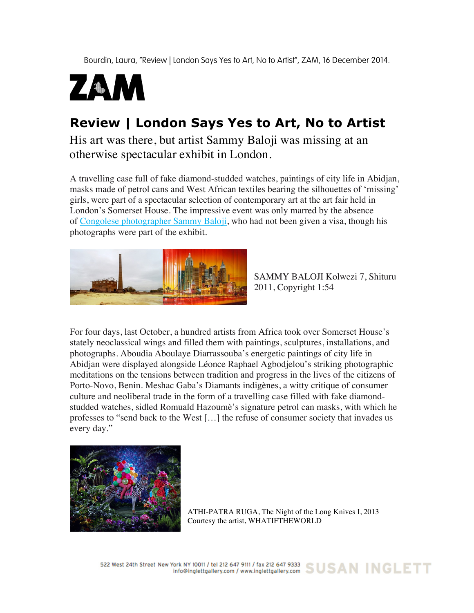Bourdin, Laura, "Review | London Says Yes to Art, No to Artist", ZAM, 16 December 2014.



# **Review | London Says Yes to Art, No to Artist**

His art was there, but artist Sammy Baloji was missing at an otherwise spectacular exhibit in London.

A travelling case full of fake diamond-studded watches, paintings of city life in Abidjan, masks made of petrol cans and West African textiles bearing the silhouettes of 'missing' girls, were part of a spectacular selection of contemporary art at the art fair held in London's Somerset House. The impressive event was only marred by the absence of Congolese photographer Sammy Baloji, who had not been given a visa, though his photographs were part of the exhibit.



SAMMY BALOJI Kolwezi 7, Shituru 2011, Copyright 1:54

For four days, last October, a hundred artists from Africa took over Somerset House's stately neoclassical wings and filled them with paintings, sculptures, installations, and photographs. Aboudia Aboulaye Diarrassouba's energetic paintings of city life in Abidjan were displayed alongside Léonce Raphael Agbodjelou's striking photographic meditations on the tensions between tradition and progress in the lives of the citizens of Porto-Novo, Benin. Meshac Gaba's Diamants indigènes, a witty critique of consumer culture and neoliberal trade in the form of a travelling case filled with fake diamondstudded watches, sidled Romuald Hazoumè's signature petrol can masks, with which he professes to "send back to the West […] the refuse of consumer society that invades us every day."



ATHI-PATRA RUGA, The Night of the Long Knives I, 2013 Courtesy the artist, WHATIFTHEWORLD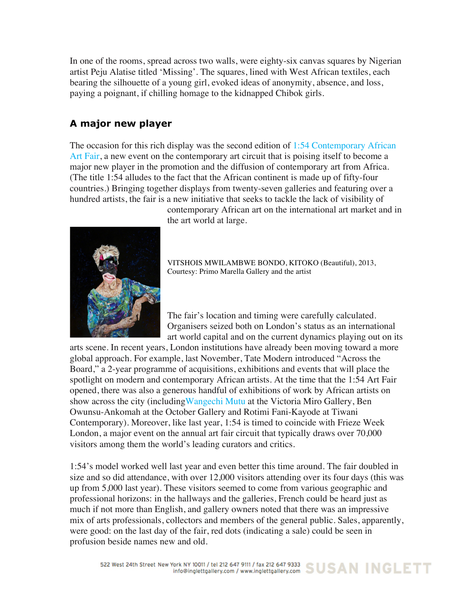In one of the rooms, spread across two walls, were eighty-six canvas squares by Nigerian artist Peju Alatise titled 'Missing'. The squares, lined with West African textiles, each bearing the silhouette of a young girl, evoked ideas of anonymity, absence, and loss, paying a poignant, if chilling homage to the kidnapped Chibok girls.

# **A major new player**

The occasion for this rich display was the second edition of 1:54 Contemporary African Art Fair, a new event on the contemporary art circuit that is poising itself to become a major new player in the promotion and the diffusion of contemporary art from Africa. (The title 1:54 alludes to the fact that the African continent is made up of fifty-four countries.) Bringing together displays from twenty-seven galleries and featuring over a hundred artists, the fair is a new initiative that seeks to tackle the lack of visibility of



contemporary African art on the international art market and in the art world at large.

VITSHOIS MWILAMBWE BONDO, KITOKO (Beautiful), 2013, Courtesy: Primo Marella Gallery and the artist

The fair's location and timing were carefully calculated. Organisers seized both on London's status as an international art world capital and on the current dynamics playing out on its

arts scene. In recent years, London institutions have already been moving toward a more global approach. For example, last November, Tate Modern introduced "Across the Board," a 2-year programme of acquisitions, exhibitions and events that will place the spotlight on modern and contemporary African artists. At the time that the 1:54 Art Fair opened, there was also a generous handful of exhibitions of work by African artists on show across the city (including Wangechi Mutu at the Victoria Miro Gallery, Ben Owunsu-Ankomah at the October Gallery and Rotimi Fani-Kayode at Tiwani Contemporary). Moreover, like last year, 1:54 is timed to coincide with Frieze Week London, a major event on the annual art fair circuit that typically draws over 70,000 visitors among them the world's leading curators and critics.

1:54's model worked well last year and even better this time around. The fair doubled in size and so did attendance, with over 12,000 visitors attending over its four days (this was up from 5,000 last year). These visitors seemed to come from various geographic and professional horizons: in the hallways and the galleries, French could be heard just as much if not more than English, and gallery owners noted that there was an impressive mix of arts professionals, collectors and members of the general public. Sales, apparently, were good: on the last day of the fair, red dots (indicating a sale) could be seen in profusion beside names new and old.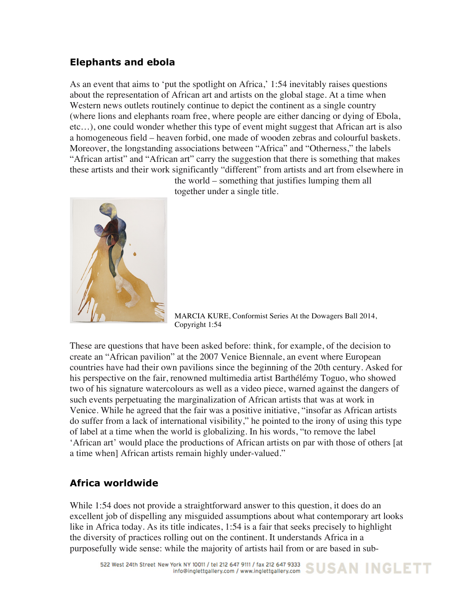## **Elephants and ebola**

As an event that aims to 'put the spotlight on Africa,' 1:54 inevitably raises questions about the representation of African art and artists on the global stage. At a time when Western news outlets routinely continue to depict the continent as a single country (where lions and elephants roam free, where people are either dancing or dying of Ebola, etc…), one could wonder whether this type of event might suggest that African art is also a homogeneous field – heaven forbid, one made of wooden zebras and colourful baskets. Moreover, the longstanding associations between "Africa" and "Otherness," the labels "African artist" and "African art" carry the suggestion that there is something that makes these artists and their work significantly "different" from artists and art from elsewhere in

the world – something that justifies lumping them all together under a single title.



MARCIA KURE, Conformist Series At the Dowagers Ball 2014, Copyright 1:54

These are questions that have been asked before: think, for example, of the decision to create an "African pavilion" at the 2007 Venice Biennale, an event where European countries have had their own pavilions since the beginning of the 20th century. Asked for his perspective on the fair, renowned multimedia artist Barthélémy Toguo, who showed two of his signature watercolours as well as a video piece, warned against the dangers of such events perpetuating the marginalization of African artists that was at work in Venice. While he agreed that the fair was a positive initiative, "insofar as African artists do suffer from a lack of international visibility," he pointed to the irony of using this type of label at a time when the world is globalizing. In his words, "to remove the label 'African art' would place the productions of African artists on par with those of others [at a time when] African artists remain highly under-valued."

## **Africa worldwide**

While 1:54 does not provide a straightforward answer to this question, it does do an excellent job of dispelling any misguided assumptions about what contemporary art looks like in Africa today. As its title indicates, 1:54 is a fair that seeks precisely to highlight the diversity of practices rolling out on the continent. It understands Africa in a purposefully wide sense: while the majority of artists hail from or are based in sub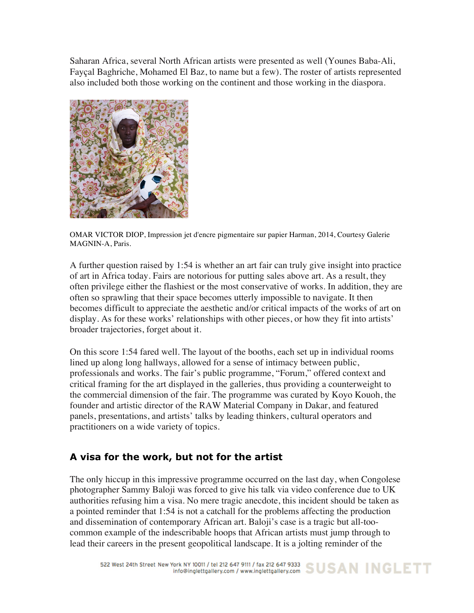Saharan Africa, several North African artists were presented as well (Younes Baba-Ali, Fayçal Baghriche, Mohamed El Baz, to name but a few). The roster of artists represented also included both those working on the continent and those working in the diaspora.



OMAR VICTOR DIOP, Impression jet d'encre pigmentaire sur papier Harman, 2014, Courtesy Galerie MAGNIN-A, Paris.

A further question raised by 1:54 is whether an art fair can truly give insight into practice of art in Africa today. Fairs are notorious for putting sales above art. As a result, they often privilege either the flashiest or the most conservative of works. In addition, they are often so sprawling that their space becomes utterly impossible to navigate. It then becomes difficult to appreciate the aesthetic and/or critical impacts of the works of art on display. As for these works' relationships with other pieces, or how they fit into artists' broader trajectories, forget about it.

On this score 1:54 fared well. The layout of the booths, each set up in individual rooms lined up along long hallways, allowed for a sense of intimacy between public, professionals and works. The fair's public programme, "Forum," offered context and critical framing for the art displayed in the galleries, thus providing a counterweight to the commercial dimension of the fair. The programme was curated by Koyo Kouoh, the founder and artistic director of the RAW Material Company in Dakar, and featured panels, presentations, and artists' talks by leading thinkers, cultural operators and practitioners on a wide variety of topics.

## **A visa for the work, but not for the artist**

The only hiccup in this impressive programme occurred on the last day, when Congolese photographer Sammy Baloji was forced to give his talk via video conference due to UK authorities refusing him a visa. No mere tragic anecdote, this incident should be taken as a pointed reminder that 1:54 is not a catchall for the problems affecting the production and dissemination of contemporary African art. Baloji's case is a tragic but all-toocommon example of the indescribable hoops that African artists must jump through to lead their careers in the present geopolitical landscape. It is a jolting reminder of the